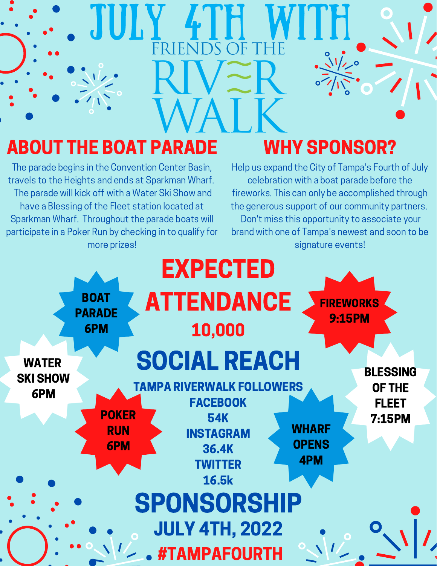## $\sqrt{1/20}$ ABOUT THE BOAT PARADE WHY SPONSOR? The parade begins in the Convention Center Basin, Help us expand the City of Tampa's Fourth of July travels to the Heights and ends at Sparkman Wharf. celebration with a boat parade before the

The parade will kick off with a Water Ski Show and have a Blessing of the Fleet station located at Sparkman Wharf. Throughout the parade boats will participate in a Poker Run by checking in to qualify for more prizes!

fireworks. This can only be accomplished through the generous support of our community partners. Don't miss this opportunity to associate your brand with one of Tampa's newest and soon to be signature events!

WI I